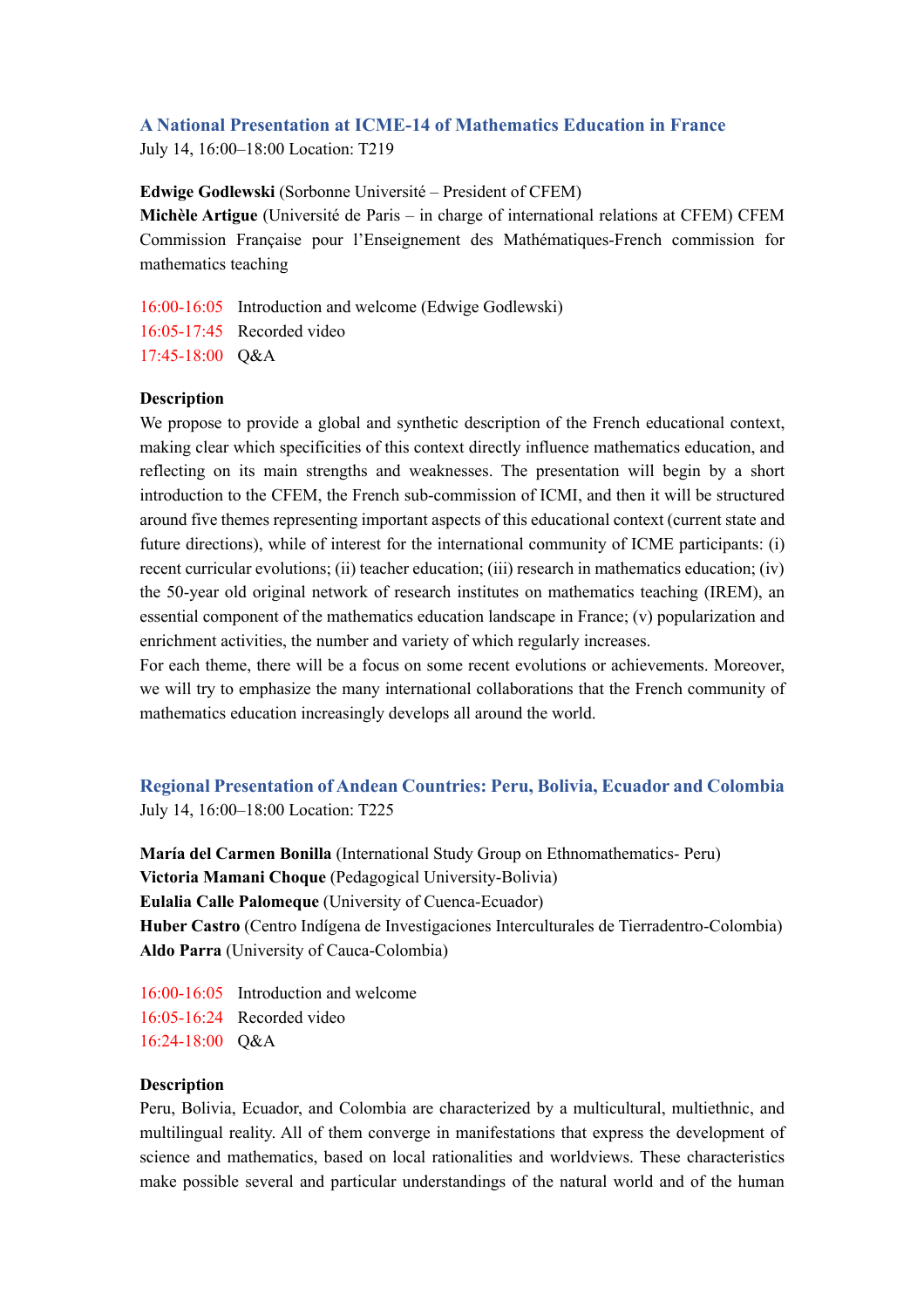# **A National Presentation at ICME-14 of Mathematics Education in France**

July 14, 16:00–18:00 Location: T219

**Edwige Godlewski** (Sorbonne Université – President of CFEM)

**Michèle Artigue** (Université de Paris – in charge of international relations at CFEM) CFEM Commission Française pour l'Enseignement des Mathématiques-French commission for mathematics teaching

16:00-16:05 Introduction and welcome (Edwige Godlewski) 16:05-17:45 Recorded video 17:45-18:00 Q&A

## **Description**

We propose to provide a global and synthetic description of the French educational context, making clear which specificities of this context directly influence mathematics education, and reflecting on its main strengths and weaknesses. The presentation will begin by a short introduction to the CFEM, the French sub-commission of ICMI, and then it will be structured around five themes representing important aspects of this educational context (current state and future directions), while of interest for the international community of ICME participants: (i) recent curricular evolutions; (ii) teacher education; (iii) research in mathematics education; (iv) the 50-year old original network of research institutes on mathematics teaching (IREM), an essential component of the mathematics education landscape in France; (v) popularization and enrichment activities, the number and variety of which regularly increases.

For each theme, there will be a focus on some recent evolutions or achievements. Moreover, we will try to emphasize the many international collaborations that the French community of mathematics education increasingly develops all around the world.

**Regional Presentation of Andean Countries: Peru, Bolivia, Ecuador and Colombia** July 14, 16:00–18:00 Location: T225

**María del Carmen Bonilla** (International Study Group on Ethnomathematics- Peru) **Victoria Mamani Choque** (Pedagogical University-Bolivia) **Eulalia Calle Palomeque** (University of Cuenca-Ecuador) **Huber Castro** (Centro Indígena de Investigaciones Interculturales de Tierradentro-Colombia) **Aldo Parra** (University of Cauca-Colombia)

16:00-16:05 Introduction and welcome 16:05-16:24 Recorded video 16:24-18:00 Q&A

### **Description**

Peru, Bolivia, Ecuador, and Colombia are characterized by a multicultural, multiethnic, and multilingual reality. All of them converge in manifestations that express the development of science and mathematics, based on local rationalities and worldviews. These characteristics make possible several and particular understandings of the natural world and of the human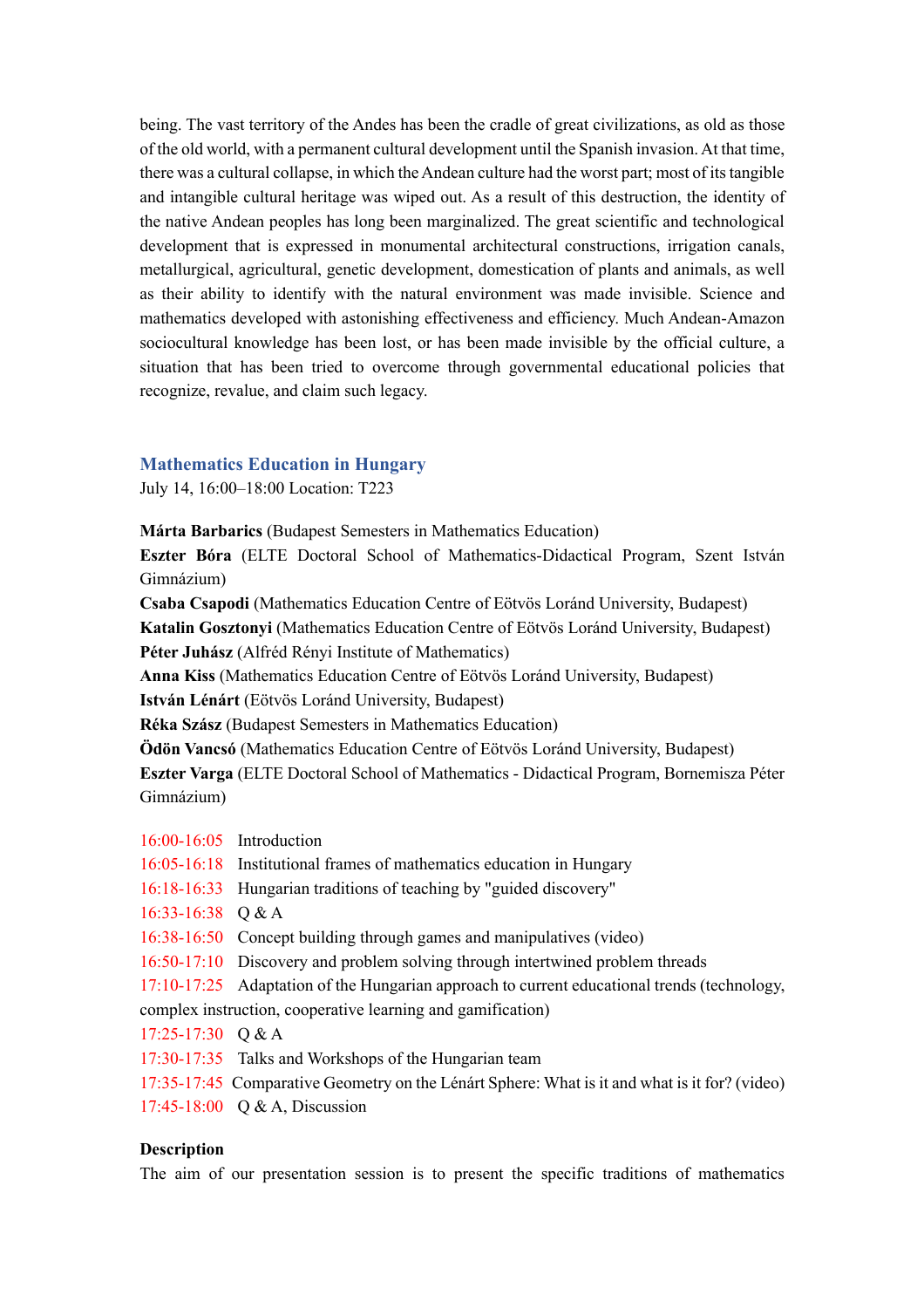being. The vast territory of the Andes has been the cradle of great civilizations, as old as those of the old world, with a permanent cultural development until the Spanish invasion. At that time, there was a cultural collapse, in which the Andean culture had the worst part; most of its tangible and intangible cultural heritage was wiped out. As a result of this destruction, the identity of the native Andean peoples has long been marginalized. The great scientific and technological development that is expressed in monumental architectural constructions, irrigation canals, metallurgical, agricultural, genetic development, domestication of plants and animals, as well as their ability to identify with the natural environment was made invisible. Science and mathematics developed with astonishing effectiveness and efficiency. Much Andean-Amazon sociocultural knowledge has been lost, or has been made invisible by the official culture, a situation that has been tried to overcome through governmental educational policies that recognize, revalue, and claim such legacy.

#### **Mathematics Education in Hungary**

July 14, 16:00–18:00 Location: T223

**Márta Barbarics** (Budapest Semesters in Mathematics Education)

**Eszter Bóra** (ELTE Doctoral School of Mathematics-Didactical Program, Szent István Gimnázium)

**Csaba Csapodi** (Mathematics Education Centre of Eötvös Loránd University, Budapest) **Katalin Gosztonyi** (Mathematics Education Centre of Eötvös Loránd University, Budapest) **Péter Juhász** (Alfréd Rényi Institute of Mathematics)

**Anna Kiss** (Mathematics Education Centre of Eötvös Loránd University, Budapest)

**István Lénárt** (Eötvös Loránd University, Budapest)

**Réka Szász** (Budapest Semesters in Mathematics Education)

**Ödön Vancsó** (Mathematics Education Centre of Eötvös Loránd University, Budapest)

**Eszter Varga** (ELTE Doctoral School of Mathematics - Didactical Program, Bornemisza Péter Gimnázium)

- 16:00-16:05 Introduction
- 16:05-16:18 Institutional frames of mathematics education in Hungary
- 16:18-16:33 Hungarian traditions of teaching by "guided discovery"
- 16:33-16:38 Q & A

16:38-16:50 Concept building through games and manipulatives (video)

16:50-17:10 Discovery and problem solving through intertwined problem threads

17:10-17:25 Adaptation of the Hungarian approach to current educational trends (technology,

complex instruction, cooperative learning and gamification)

- 17:25-17:30 Q & A
- 17:30-17:35 Talks and Workshops of the Hungarian team
- 17:35-17:45 Comparative Geometry on the Lénárt Sphere: What is it and what is it for? (video)

17:45-18:00 Q & A, Discussion

#### **Description**

The aim of our presentation session is to present the specific traditions of mathematics